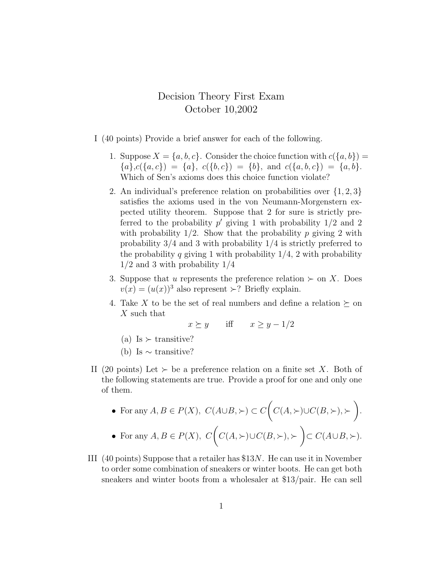## Decision Theory First Exam October 10,2002

- I (40 points) Provide a brief answer for each of the following.
	- 1. Suppose  $X = \{a, b, c\}$ . Consider the choice function with  $c(\{a, b\}) =$  ${a},c({a}, {c}) = {a}, c({b}, {c}) = {b}, \text{ and } c({a}, {b}, {c}) = {a}, {b}.$ Which of Sen's axioms does this choice function violate?
	- 2. An individual's preference relation on probabilities over  $\{1, 2, 3\}$ satisfies the axioms used in the von Neumann-Morgenstern expected utility theorem. Suppose that 2 for sure is strictly preferred to the probability  $p'$  giving 1 with probability  $1/2$  and 2 with probability  $1/2$ . Show that the probability p giving 2 with probability 3/4 and 3 with probability 1/4 is strictly preferred to the probability q giving 1 with probability  $1/4$ , 2 with probability 1/2 and 3 with probability 1/4
	- 3. Suppose that u represents the preference relation  $\succ$  on X. Does  $v(x) = (u(x))^3$  also represent  $\succ$ ? Briefly explain.
	- 4. Take X to be the set of real numbers and define a relation  $\succeq$  on X such that

$$
x \succeq y
$$
 iff  $x \ge y - 1/2$ 

- (a) Is  $\succ$  transitive?
- (b) Is  $\sim$  transitive?
- II (20 points) Let  $\succ$  be a preference relation on a finite set X. Both of the following statements are true. Provide a proof for one and only one of them.

• For any 
$$
A, B \in P(X)
$$
,  $C(A \cup B, \succ) \subset C(C(A, \succ) \cup C(B, \succ), \succ)$ .  
\n• For any  $A, B \in P(X)$ ,  $C(C(A, \succ) \cup C(B, \succ), \succ) \subset C(A \cup B, \succ)$ .

III (40 points) Suppose that a retailer has \$13N. He can use it in November to order some combination of sneakers or winter boots. He can get both sneakers and winter boots from a wholesaler at \$13/pair. He can sell